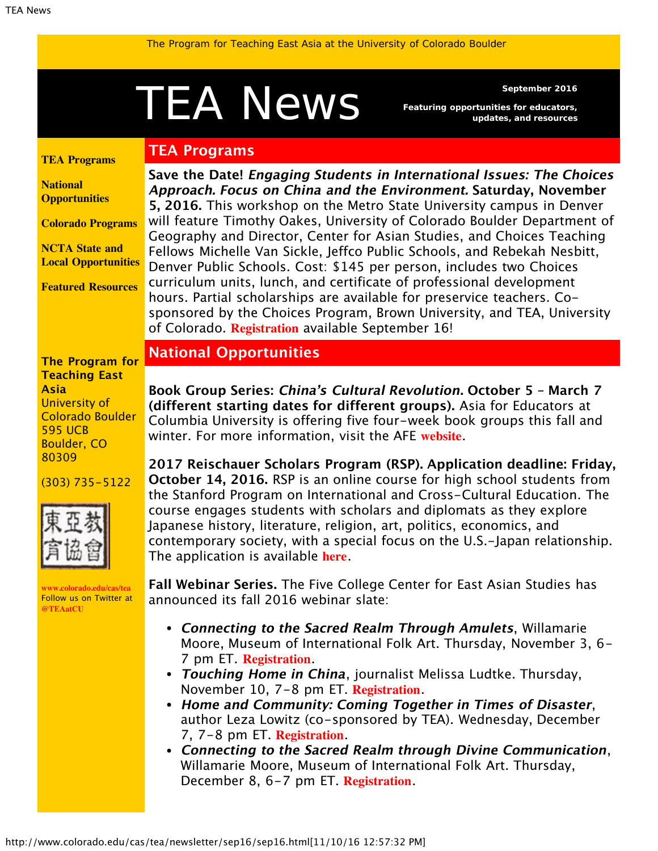<span id="page-0-1"></span>The Program for Teaching East Asia at the University of Colorado Boulder

# September 2016<br>Featuring opportunities for educators,

**TEA Programs**

*Featuring opportunities for educators, updates, and resources*

<span id="page-0-0"></span>**[TEA Programs](#page-0-0)**

**[National](#page-0-1) [Opportunities](#page-0-1)**

**[Colorado Programs](#page-1-0)**

**[NCTA State and](#page-1-1) [Local Opportunities](#page-1-1)**

**[Featured Resources](#page-2-0)**

**Save the Date! Engaging Students in International Issues: The Choices Approach. Focus on China and the Environment. Saturday, November 5, 2016.** This workshop on the Metro State University campus in Denver will feature Timothy Oakes, University of Colorado Boulder Department of Geography and Director, Center for Asian Studies, and Choices Teaching Fellows Michelle Van Sickle, Jeffco Public Schools, and Rebekah Nesbitt, Denver Public Schools. Cost: \$145 per person, includes two Choices curriculum units, lunch, and certificate of professional development hours. Partial scholarships are available for preservice teachers. Cosponsored by the Choices Program, Brown University, and TEA, University of Colorado. **[Registration](http://www.choices.edu/pd/intro-workshops.php)** available September 16!

#### **The Program for Teaching East Asia** University of Colorado Boulder 595 UCB Boulder, CO

(303) 735-5122

80309



**[www.colorado.edu/cas/tea](http://www.colorado.edu/cas/tea)** Follow us on Twitter at **[@TEAatCU](https://twitter.com/TEAatCU)**

## **National Opportunities**

**Book Group Series: China's Cultural Revolution. October 5 – March 7 (different starting dates for different groups).** Asia for Educators at Columbia University is offering five four-week book groups this fall and winter. For more information, visit the AFE **[website](http://asiaforeducators.org/course/index.php?categoryid=56)**.

**2017 Reischauer Scholars Program (RSP). Application deadline: Friday, October 14, 2016.** RSP is an online course for high school students from the Stanford Program on International and Cross-Cultural Education. The course engages students with scholars and diplomats as they explore Japanese history, literature, religion, art, politics, economics, and contemporary society, with a special focus on the U.S.-Japan relationship. The application is available **[here](http://spice.fsi.stanford.edu/fellowships/reischauer_scholars_program)**.

**Fall Webinar Series.** The Five College Center for East Asian Studies has announced its fall 2016 webinar slate:

- **Connecting to the Sacred Realm Through Amulets**, Willamarie Moore, Museum of International Folk Art. Thursday, November 3, 6- 7 pm ET. **[Registration](https://attendee.gotowebinar.com/register/6031755140613450243)**.
- **Touching Home in China**, journalist Melissa Ludtke. Thursday, November 10, 7-8 pm ET. **[Registration](https://attendee.gotowebinar.com/register/2599090833483500546)**.
- **Home and Community: Coming Together in Times of Disaster**, author Leza Lowitz (co-sponsored by TEA). Wednesday, December 7, 7-8 pm ET. **[Registration](https://attendee.gotowebinar.com/register/8811807619263199491)**.
- **Connecting to the Sacred Realm through Divine Communication**, Willamarie Moore, Museum of International Folk Art. Thursday, December 8, 6-7 pm ET. **[Registration](https://attendee.gotowebinar.com/register/757199950078992643)**.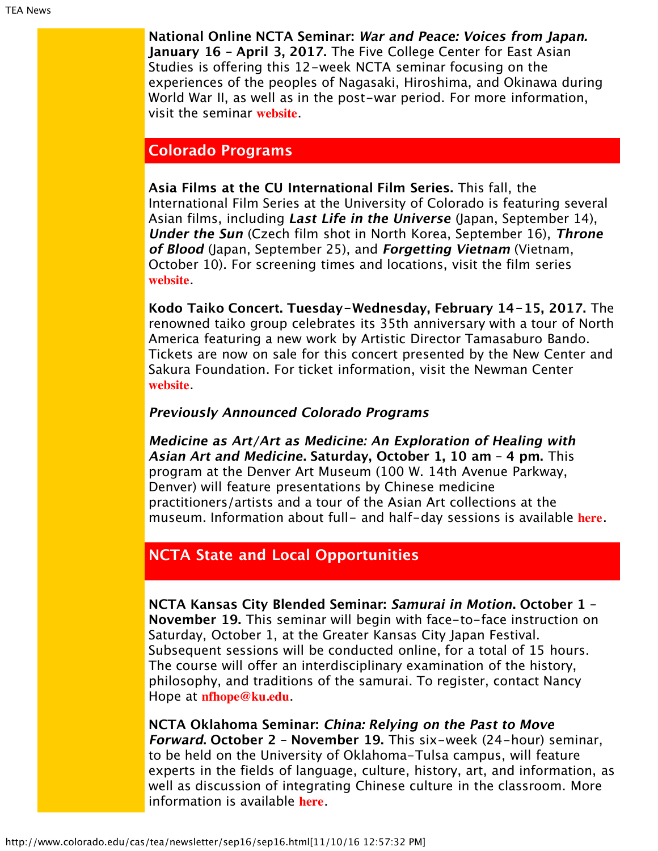**National Online NCTA Seminar: War and Peace: Voices from Japan. January 16 – April 3, 2017.** The Five College Center for East Asian Studies is offering this 12-week NCTA seminar focusing on the experiences of the peoples of Nagasaki, Hiroshima, and Okinawa during World War II, as well as in the post-war period. For more information, visit the seminar **[website](https://www.fivecolleges.edu/fcceas/ncta/national-online)**.

### <span id="page-1-0"></span>**Colorado Programs**

**Asia Films at the CU International Film Series.** This fall, the International Film Series at the University of Colorado is featuring several Asian films, including **Last Life in the Universe** (Japan, September 14), **Under the Sun** (Czech film shot in North Korea, September 16), **Throne of Blood** (Japan, September 25), and **Forgetting Vietnam** (Vietnam, October 10). For screening times and locations, visit the film series **[website](http://www.internationalfilmseries.com/schedule.php)**.

**Kodo Taiko Concert. Tuesday-Wednesday, February 14-15, 2017.** The renowned taiko group celebrates its 35th anniversary with a tour of North America featuring a new work by Artistic Director Tamasaburo Bando. Tickets are now on sale for this concert presented by the New Center and Sakura Foundation. For ticket information, visit the Newman Center **[website](http://www.newmantix.com/)**.

#### **Previously Announced Colorado Programs**

**Medicine as Art/Art as Medicine: An Exploration of Healing with Asian Art and Medicine. Saturday, October 1, 10 am – 4 pm.** This program at the Denver Art Museum (100 W. 14th Avenue Parkway, Denver) will feature presentations by Chinese medicine practitioners/artists and a tour of the Asian Art collections at the museum. Information about full- and half-day sessions is available **[here](http://denverartmuseum.org/calendar/exploration-of-healing-asian-art-and-medicine)**.

## <span id="page-1-1"></span>**NCTA State and Local Opportunities**

**NCTA Kansas City Blended Seminar: Samurai in Motion. October 1 – November 19.** This seminar will begin with face-to-face instruction on Saturday, October 1, at the Greater Kansas City Japan Festival. Subsequent sessions will be conducted online, for a total of 15 hours. The course will offer an interdisciplinary examination of the history, philosophy, and traditions of the samurai. To register, contact Nancy Hope at **[nfhope@ku.edu](mailto:nfhope@ku.edu)**.

**NCTA Oklahoma Seminar: China: Relying on the Past to Move Forward. October 2 – November 19.** This six-week (24-hour) seminar, to be held on the University of Oklahoma-Tulsa campus, will feature experts in the fields of language, culture, history, art, and information, as well as discussion of integrating Chinese culture in the classroom. More information is available **[here](http://eai.ou.edu/)**.